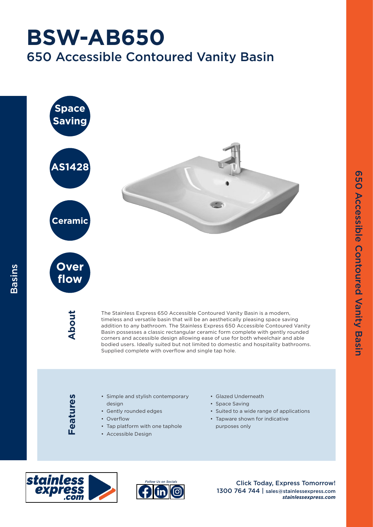## 650 Accessible Contoured Vanity Basin **BSW-AB650**



purposes only



Basins



• Tap platform with one taphole

• Accessible Design

Click Today, Express Tomorrow! 1300 764 744 | sales@stainlessexpress.com *stainlessexpress.com*